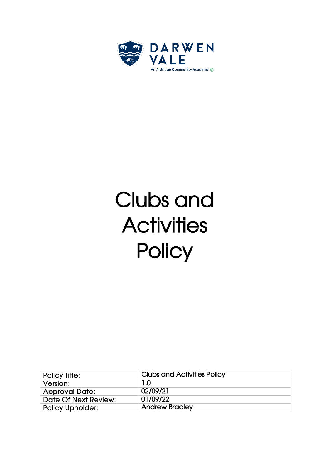

# Clubs and **Activities Policy**

| Policy Title:           | <b>Clubs and Activities Policy</b> |
|-------------------------|------------------------------------|
| Version:                | 1.0                                |
| <b>Approval Date:</b>   | 02/09/21                           |
| Date Of Next Review:    | 01/09/22                           |
| <b>Policy Upholder:</b> | <b>Andrew Bradley</b>              |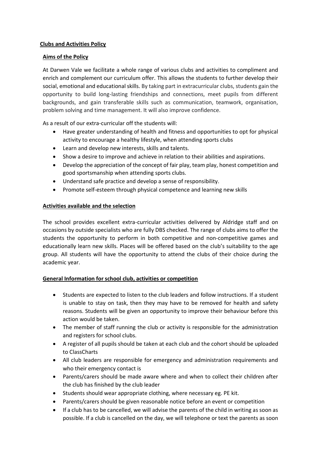# **Clubs and Activities Policy**

## **Aims of the Policy**

At Darwen Vale we facilitate a whole range of various clubs and activities to compliment and enrich and complement our curriculum offer. This allows the students to further develop their social, emotional and educational skills. By taking part in extracurricular clubs, students gain the opportunity to build long-lasting friendships and connections, meet pupils from different backgrounds, and gain transferable skills such as communication, teamwork, organisation, problem solving and time management. It will also improve confidence.

As a result of our extra-curricular off the students will:

- Have greater understanding of health and fitness and opportunities to opt for physical activity to encourage a healthy lifestyle, when attending sports clubs
- Learn and develop new interests, skills and talents.
- Show a desire to improve and achieve in relation to their abilities and aspirations.
- Develop the appreciation of the concept of fair play, team play, honest competition and good sportsmanship when attending sports clubs.
- Understand safe practice and develop a sense of responsibility.
- Promote self-esteem through physical competence and learning new skills

## **Activities available and the selection**

The school provides excellent extra-curricular activities delivered by Aldridge staff and on occasions by outside specialists who are fully DBS checked. The range of clubs aims to offer the students the opportunity to perform in both competitive and non-competitive games and educationally learn new skills. Places will be offered based on the club's suitability to the age group. All students will have the opportunity to attend the clubs of their choice during the academic year.

# **General Information for school club, activities or competition**

- Students are expected to listen to the club leaders and follow instructions. If a student is unable to stay on task, then they may have to be removed for health and safety reasons. Students will be given an opportunity to improve their behaviour before this action would be taken.
- The member of staff running the club or activity is responsible for the administration and registers for school clubs.
- A register of all pupils should be taken at each club and the cohort should be uploaded to ClassCharts
- All club leaders are responsible for emergency and administration requirements and who their emergency contact is
- Parents/carers should be made aware where and when to collect their children after the club has finished by the club leader
- Students should wear appropriate clothing, where necessary eg. PE kit.
- Parents/carers should be given reasonable notice before an event or competition
- If a club has to be cancelled, we will advise the parents of the child in writing as soon as possible. If a club is cancelled on the day, we will telephone or text the parents as soon